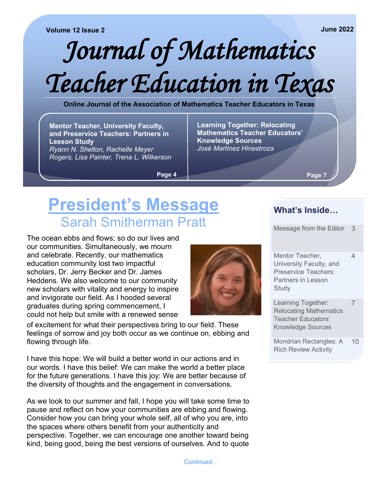#### **Volume 12 Issue 2**

# *Journal of Mathematics Teacher Education in Texas*

**Online Journal of the Association of Mathematics Teacher Educators in Texas**

**Mentor Teacher, University Faculty, and Preservice Teachers: Partners in Lesson Study** *Ryann N. Shelton, Rachelle Meyer Rogers, Lisa Painter, Trena L. Wilkerson*

**Learning Together: Relocating Mathematics Teacher Educators' Knowledge Sources** *José Martínez Hinestroza*

**Page 4**

**Page 7**

## **President's Message** Sarah Smitherman Pratt

The ocean ebbs and flows; so do our lives and our communities. Simultaneously, we mourn and celebrate. Recently, our mathematics education community lost two impactful scholars, Dr. Jerry Becker and Dr. James Heddens. We also welcome to our community new scholars with vitality and energy to inspire and invigorate our field. As I hooded several graduates during spring commencement, I could not help but smile with a renewed sense

of excitement for what their perspectives bring to our field. These feelings of sorrow and joy both occur as we continue on, ebbing and flowing through life.

I have this hope: We will build a better world in our actions and in our words. I have this belief: We can make the world a better place for the future generations. I have this joy: We are better because of the diversity of thoughts and the engagement in conversations.

As we look to our summer and fall, I hope you will take some time to pause and reflect on how your communities are ebbing and flowing. Consider how you can bring your whole self, all of who you are, into the spaces where others benefit from your authenticity and perspective. Together, we can encourage one another toward being kind, being good, being the best versions of ourselves. And to quote

#### **What's Inside…**

Message from the Editor 3

Mentor Teacher, University Faculty, and Preservice Teachers: Partners in Lesson **Study** 4

Learning Together: Relocating Mathematics Teacher Educators' Knowledge Sources 7

Mondrian Rectangles: A Rich Review Activity 10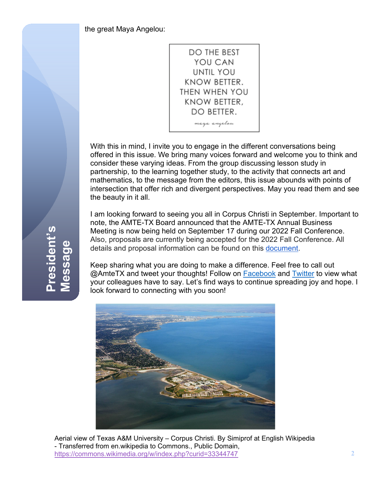the great Maya Angelou:



With this in mind, I invite you to engage in the different conversations being offered in this issue. We bring many voices forward and welcome you to think and consider these varying ideas. From the group discussing lesson study in partnership, to the learning together study, to the activity that connects art and mathematics, to the message from the editors, this issue abounds with points of intersection that offer rich and divergent perspectives. May you read them and see the beauty in it all.

I am looking forward to seeing you all in Corpus Christi in September. Important to note, the AMTE-TX Board announced that the AMTE-TX Annual Business Meeting is now being held on September 17 during our 2022 Fall Conference. Also, proposals are currently being accepted for the 2022 Fall Conference. All details and proposal information can be found on this [document.](https://drive.google.com/file/d/13iotKrh262mz5tEubvsxPatZemi0UM22/view?usp=drive_web)

Keep sharing what you are doing to make a difference. Feel free to call out @AmteTX and tweet your thoughts! Follow on [Facebook](https://www.facebook.com/AMTE-Tx-1692861444285835/) and [Twitter](https://twitter.com/amtetx) to view what your colleagues have to say. Let's find ways to continue spreading joy and hope. I look forward to connecting with you soon!



Aerial view of Texas A&M University – Corpus Christi. By Simiprof at English Wikipedia - Transferred from en.wikipedia to Commons., Public Domain, <https://commons.wikimedia.org/w/index.php?curid=33344747>

**President's**  resident's **Message**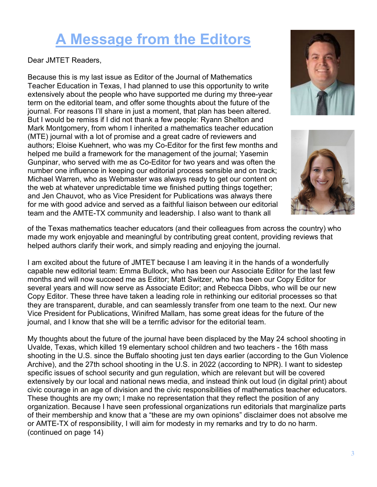## **A Message from the Editors**

Dear JMTET Readers,

Because this is my last issue as Editor of the Journal of Mathematics Teacher Education in Texas, I had planned to use this opportunity to write extensively about the people who have supported me during my three-year term on the editorial team, and offer some thoughts about the future of the journal. For reasons I'll share in just a moment, that plan has been altered. But I would be remiss if I did not thank a few people: Ryann Shelton and Mark Montgomery, from whom I inherited a mathematics teacher education (MTE) journal with a lot of promise and a great cadre of reviewers and authors; Eloise Kuehnert, who was my Co-Editor for the first few months and helped me build a framework for the management of the journal; Yasemin Gunpinar, who served with me as Co-Editor for two years and was often the number one influence in keeping our editorial process sensible and on track; Michael Warren, who as Webmaster was always ready to get our content on the web at whatever unpredictable time we finished putting things together; and Jen Chauvot, who as Vice President for Publications was always there for me with good advice and served as a faithful liaison between our editorial team and the AMTE-TX community and leadership. I also want to thank all





of the Texas mathematics teacher educators (and their colleagues from across the country) who made my work enjoyable and meaningful by contributing great content, providing reviews that helped authors clarify their work, and simply reading and enjoying the journal.

I am excited about the future of JMTET because I am leaving it in the hands of a wonderfully capable new editorial team: Emma Bullock, who has been our Associate Editor for the last few months and will now succeed me as Editor; Matt Switzer, who has been our Copy Editor for several years and will now serve as Associate Editor; and Rebecca Dibbs, who will be our new Copy Editor. These three have taken a leading role in rethinking our editorial processes so that they are transparent, durable, and can seamlessly transfer from one team to the next. Our new Vice President for Publications, Winifred Mallam, has some great ideas for the future of the journal, and I know that she will be a terrific advisor for the editorial team.

My thoughts about the future of the journal have been displaced by the May 24 school shooting in Uvalde, Texas, which killed 19 elementary school children and two teachers - the 16th mass shooting in the U.S. since the Buffalo shooting just ten days earlier (according to the Gun Violence Archive), and the 27th school shooting in the U.S. in 2022 (according to NPR). I want to sidestep specific issues of school security and gun regulation, which are relevant but will be covered extensively by our local and national news media, and instead think out loud (in digital print) about civic courage in an age of division and the civic responsibilities of mathematics teacher educators. These thoughts are my own; I make no representation that they reflect the position of any organization. Because I have seen professional organizations run editorials that marginalize parts of their membership and know that a "these are my own opinions" disclaimer does not absolve me or AMTE-TX of responsibility, I will aim for modesty in my remarks and try to do no harm. (continued on page 14)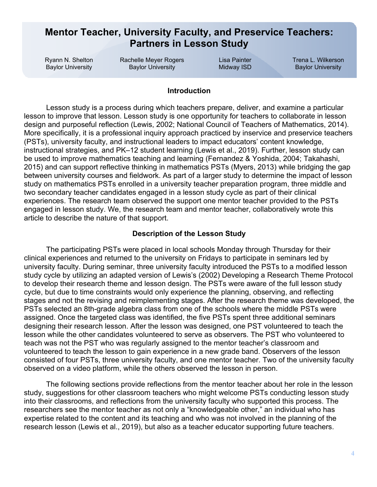#### **Mentor Teacher, University Faculty, and Preservice Teachers: Partners in Lesson Study**

Ryann N. Shelton Baylor University

Rachelle Meyer Rogers Baylor University

Lisa Painter Midway ISD Trena L. Wilkerson Baylor University

#### **Introduction**

Lesson study is a process during which teachers prepare, deliver, and examine a particular lesson to improve that lesson. Lesson study is one opportunity for teachers to collaborate in lesson design and purposeful reflection (Lewis, 2002; National Council of Teachers of Mathematics, 2014). More specifically, it is a professional inquiry approach practiced by inservice and preservice teachers (PSTs), university faculty, and instructional leaders to impact educators' content knowledge, instructional strategies, and PK–12 student learning (Lewis et al., 2019). Further, lesson study can be used to improve mathematics teaching and learning (Fernandez & Yoshida, 2004; Takahashi, 2015) and can support reflective thinking in mathematics PSTs (Myers, 2013) while bridging the gap between university courses and fieldwork. As part of a larger study to determine the impact of lesson study on mathematics PSTs enrolled in a university teacher preparation program, three middle and two secondary teacher candidates engaged in a lesson study cycle as part of their clinical experiences. The research team observed the support one mentor teacher provided to the PSTs engaged in lesson study. We, the research team and mentor teacher, collaboratively wrote this article to describe the nature of that support.

#### **Description of the Lesson Study**

The participating PSTs were placed in local schools Monday through Thursday for their clinical experiences and returned to the university on Fridays to participate in seminars led by university faculty. During seminar, three university faculty introduced the PSTs to a modified lesson study cycle by utilizing an adapted version of Lewis's (2002) Developing a Research Theme Protocol to develop their research theme and lesson design. The PSTs were aware of the full lesson study cycle, but due to time constraints would only experience the planning, observing, and reflecting stages and not the revising and reimplementing stages. After the research theme was developed, the PSTs selected an 8th-grade algebra class from one of the schools where the middle PSTs were assigned. Once the targeted class was identified, the five PSTs spent three additional seminars designing their research lesson. After the lesson was designed, one PST volunteered to teach the lesson while the other candidates volunteered to serve as observers. The PST who volunteered to teach was not the PST who was regularly assigned to the mentor teacher's classroom and volunteered to teach the lesson to gain experience in a new grade band. Observers of the lesson consisted of four PSTs, three university faculty, and one mentor teacher. Two of the university faculty observed on a video platform, while the others observed the lesson in person.

The following sections provide reflections from the mentor teacher about her role in the lesson study, suggestions for other classroom teachers who might welcome PSTs conducting lesson study into their classrooms, and reflections from the university faculty who supported this process. The researchers see the mentor teacher as not only a "knowledgeable other," an individual who has expertise related to the content and its teaching and who was not involved in the planning of the research lesson (Lewis et al., 2019), but also as a teacher educator supporting future teachers.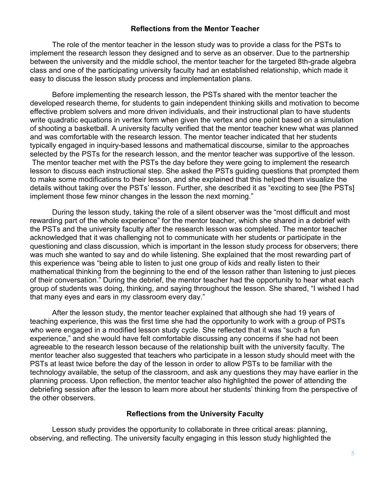#### **Reflections from the Mentor Teacher**

The role of the mentor teacher in the lesson study was to provide a class for the PSTs to implement the research lesson they designed and to serve as an observer. Due to the partnership between the university and the middle school, the mentor teacher for the targeted 8th-grade algebra class and one of the participating university faculty had an established relationship, which made it easy to discuss the lesson study process and implementation plans.

Before implementing the research lesson, the PSTs shared with the mentor teacher the developed research theme, for students to gain independent thinking skills and motivation to become effective problem solvers and more driven individuals, and their instructional plan to have students write quadratic equations in vertex form when given the vertex and one point based on a simulation of shooting a basketball. A university faculty verified that the mentor teacher knew what was planned and was comfortable with the research lesson. The mentor teacher indicated that her students typically engaged in inquiry-based lessons and mathematical discourse, similar to the approaches selected by the PSTs for the research lesson, and the mentor teacher was supportive of the lesson. The mentor teacher met with the PSTs the day before they were going to implement the research lesson to discuss each instructional step. She asked the PSTs guiding questions that prompted them to make some modifications to their lesson, and she explained that this helped them visualize the details without taking over the PSTs' lesson. Further, she described it as "exciting to see [the PSTs] implement those few minor changes in the lesson the next morning."

During the lesson study, taking the role of a silent observer was the "most difficult and most rewarding part of the whole experience" for the mentor teacher, which she shared in a debrief with the PSTs and the university faculty after the research lesson was completed. The mentor teacher acknowledged that it was challenging not to communicate with her students or participate in the questioning and class discussion, which is important in the lesson study process for observers; there was much she wanted to say and do while listening. She explained that the most rewarding part of this experience was "being able to listen to just one group of kids and really listen to their mathematical thinking from the beginning to the end of the lesson rather than listening to just pieces of their conversation." During the debrief, the mentor teacher had the opportunity to hear what each group of students was doing, thinking, and saying throughout the lesson. She shared, "I wished I had that many eyes and ears in my classroom every day."

After the lesson study, the mentor teacher explained that although she had 19 years of teaching experience, this was the first time she had the opportunity to work with a group of PSTs who were engaged in a modified lesson study cycle. She reflected that it was "such a fun experience," and she would have felt comfortable discussing any concerns if she had not been agreeable to the research lesson because of the relationship built with the university faculty. The mentor teacher also suggested that teachers who participate in a lesson study should meet with the PSTs at least twice before the day of the lesson in order to allow PSTs to be familiar with the technology available, the setup of the classroom, and ask any questions they may have earlier in the planning process. Upon reflection, the mentor teacher also highlighted the power of attending the debriefing session after the lesson to learn more about her students' thinking from the perspective of the other observers.

#### **Reflections from the University Faculty**

Lesson study provides the opportunity to collaborate in three critical areas: planning, observing, and reflecting. The university faculty engaging in this lesson study highlighted the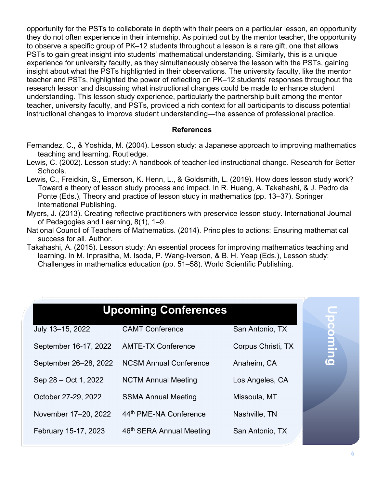opportunity for the PSTs to collaborate in depth with their peers on a particular lesson, an opportunity they do not often experience in their internship. As pointed out by the mentor teacher, the opportunity to observe a specific group of PK–12 students throughout a lesson is a rare gift, one that allows PSTs to gain great insight into students' mathematical understanding. Similarly, this is a unique experience for university faculty, as they simultaneously observe the lesson with the PSTs, gaining insight about what the PSTs highlighted in their observations. The university faculty, like the mentor teacher and PSTs, highlighted the power of reflecting on PK–12 students' responses throughout the research lesson and discussing what instructional changes could be made to enhance student understanding. This lesson study experience, particularly the partnership built among the mentor teacher, university faculty, and PSTs, provided a rich context for all participants to discuss potential instructional changes to improve student understanding—the essence of professional practice.

#### **References**

- Fernandez, C., & Yoshida, M. (2004). Lesson study: a Japanese approach to improving mathematics teaching and learning. Routledge.
- Lewis, C. (2002). Lesson study: A handbook of teacher-led instructional change. Research for Better Schools.
- Lewis, C., Freidkin, S., Emerson, K. Henn, L., & Goldsmith, L. (2019). How does lesson study work? Toward a theory of lesson study process and impact. In R. Huang, A. Takahashi, & J. Pedro da Ponte (Eds.), Theory and practice of lesson study in mathematics (pp. 13–37). Springer International Publishing.
- Myers, J. (2013). Creating reflective practitioners with preservice lesson study. International Journal of Pedagogies and Learning, 8(1), 1–9.
- National Council of Teachers of Mathematics. (2014). Principles to actions: Ensuring mathematical success for all. Author.
- Takahashi, A. (2015). Lesson study: An essential process for improving mathematics teaching and learning. In M. Inprasitha, M. Isoda, P. Wang-Iverson, & B. H. Yeap (Eds.), Lesson study: Challenges in mathematics education (pp. 51–58). World Scientific Publishing.

| <b>Upcoming Conferences</b> |                               |                    |                         |
|-----------------------------|-------------------------------|--------------------|-------------------------|
| July 13-15, 2022            | <b>CAMT Conference</b>        | San Antonio, TX    | $\overline{\mathbf{C}}$ |
| September 16-17, 2022       | <b>AMTE-TX Conference</b>     | Corpus Christi, TX | Duim                    |
| September 26-28, 2022       | <b>NCSM Annual Conference</b> | Anaheim, CA        |                         |
| Sep 28 - Oct 1, 2022        | <b>NCTM Annual Meeting</b>    | Los Angeles, CA    |                         |
| October 27-29, 2022         | <b>SSMA Annual Meeting</b>    | Missoula, MT       |                         |
| November 17-20, 2022        | 44th PME-NA Conference        | Nashville, TN      |                         |
| February 15-17, 2023        | 46th SERA Annual Meeting      | San Antonio, TX    |                         |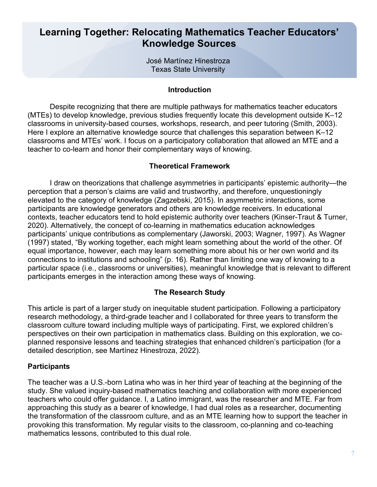#### **Learning Together: Relocating Mathematics Teacher Educators' Knowledge Sources**

José Martínez Hinestroza Texas State University

#### **Introduction**

Despite recognizing that there are multiple pathways for mathematics teacher educators (MTEs) to develop knowledge, previous studies frequently locate this development outside K–12 classrooms in university-based courses, workshops, research, and peer tutoring (Smith, 2003). Here I explore an alternative knowledge source that challenges this separation between K–12 classrooms and MTEs' work. I focus on a participatory collaboration that allowed an MTE and a teacher to co-learn and honor their complementary ways of knowing.

#### **Theoretical Framework**

I draw on theorizations that challenge asymmetries in participants' epistemic authority—the perception that a person's claims are valid and trustworthy, and therefore, unquestioningly elevated to the category of knowledge (Zagzebski, 2015). In asymmetric interactions, some participants are knowledge generators and others are knowledge receivers. In educational contexts, teacher educators tend to hold epistemic authority over teachers (Kinser-Traut & Turner, 2020). Alternatively, the concept of co-learning in mathematics education acknowledges participants' unique contributions as complementary (Jaworski, 2003; Wagner, 1997). As Wagner (1997) stated, "By working together, each might learn something about the world of the other. Of equal importance, however, each may learn something more about his or her own world and its connections to institutions and schooling" (p. 16). Rather than limiting one way of knowing to a particular space (i.e., classrooms or universities), meaningful knowledge that is relevant to different participants emerges in the interaction among these ways of knowing.

#### **The Research Study**

This article is part of a larger study on inequitable student participation. Following a participatory research methodology, a third-grade teacher and I collaborated for three years to transform the classroom culture toward including multiple ways of participating. First, we explored children's perspectives on their own participation in mathematics class. Building on this exploration, we coplanned responsive lessons and teaching strategies that enhanced children's participation (for a detailed description, see Martínez Hinestroza, 2022).

#### **Participants**

The teacher was a U.S.-born Latina who was in her third year of teaching at the beginning of the study. She valued inquiry-based mathematics teaching and collaboration with more experienced teachers who could offer guidance. I, a Latino immigrant, was the researcher and MTE. Far from approaching this study as a bearer of knowledge, I had dual roles as a researcher, documenting the transformation of the classroom culture, and as an MTE learning how to support the teacher in provoking this transformation. My regular visits to the classroom, co-planning and co-teaching mathematics lessons, contributed to this dual role.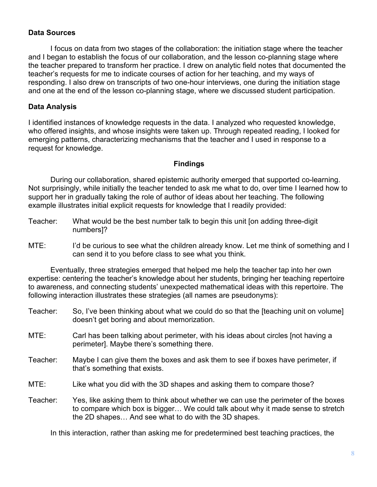#### **Data Sources**

I focus on data from two stages of the collaboration: the initiation stage where the teacher and I began to establish the focus of our collaboration, and the lesson co-planning stage where the teacher prepared to transform her practice. I drew on analytic field notes that documented the teacher's requests for me to indicate courses of action for her teaching, and my ways of responding. I also drew on transcripts of two one-hour interviews, one during the initiation stage and one at the end of the lesson co-planning stage, where we discussed student participation.

#### **Data Analysis**

I identified instances of knowledge requests in the data. I analyzed who requested knowledge, who offered insights, and whose insights were taken up. Through repeated reading, I looked for emerging patterns, characterizing mechanisms that the teacher and I used in response to a request for knowledge.

#### **Findings**

During our collaboration, shared epistemic authority emerged that supported co-learning. Not surprisingly, while initially the teacher tended to ask me what to do, over time I learned how to support her in gradually taking the role of author of ideas about her teaching. The following example illustrates initial explicit requests for knowledge that I readily provided:

- Teacher: What would be the best number talk to begin this unit [on adding three-digit numbers]?
- MTE: I'd be curious to see what the children already know. Let me think of something and I can send it to you before class to see what you think.

Eventually, three strategies emerged that helped me help the teacher tap into her own expertise: centering the teacher's knowledge about her students, bringing her teaching repertoire to awareness, and connecting students' unexpected mathematical ideas with this repertoire. The following interaction illustrates these strategies (all names are pseudonyms):

- Teacher: So, I've been thinking about what we could do so that the [teaching unit on volume] doesn't get boring and about memorization.
- MTE: Carl has been talking about perimeter, with his ideas about circles [not having a perimeter]. Maybe there's something there.
- Teacher: Maybe I can give them the boxes and ask them to see if boxes have perimeter, if that's something that exists.
- MTE: Like what you did with the 3D shapes and asking them to compare those?
- Teacher: Yes, like asking them to think about whether we can use the perimeter of the boxes to compare which box is bigger… We could talk about why it made sense to stretch the 2D shapes… And see what to do with the 3D shapes.

In this interaction, rather than asking me for predetermined best teaching practices, the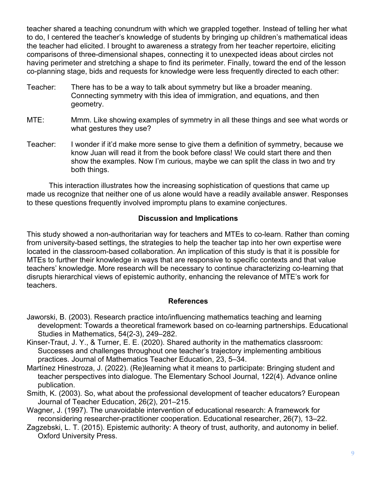teacher shared a teaching conundrum with which we grappled together. Instead of telling her what to do, I centered the teacher's knowledge of students by bringing up children's mathematical ideas the teacher had elicited. I brought to awareness a strategy from her teacher repertoire, eliciting comparisons of three-dimensional shapes, connecting it to unexpected ideas about circles not having perimeter and stretching a shape to find its perimeter. Finally, toward the end of the lesson co-planning stage, bids and requests for knowledge were less frequently directed to each other:

- Teacher: There has to be a way to talk about symmetry but like a broader meaning. Connecting symmetry with this idea of immigration, and equations, and then geometry.
- MTE: Mmm. Like showing examples of symmetry in all these things and see what words or what gestures they use?
- Teacher: I wonder if it'd make more sense to give them a definition of symmetry, because we know Juan will read it from the book before class! We could start there and then show the examples. Now I'm curious, maybe we can split the class in two and try both things.

This interaction illustrates how the increasing sophistication of questions that came up made us recognize that neither one of us alone would have a readily available answer. Responses to these questions frequently involved impromptu plans to examine conjectures.

#### **Discussion and Implications**

This study showed a non-authoritarian way for teachers and MTEs to co-learn. Rather than coming from university-based settings, the strategies to help the teacher tap into her own expertise were located in the classroom-based collaboration. An implication of this study is that it is possible for MTEs to further their knowledge in ways that are responsive to specific contexts and that value teachers' knowledge. More research will be necessary to continue characterizing co-learning that disrupts hierarchical views of epistemic authority, enhancing the relevance of MTE's work for teachers.

#### **References**

- Jaworski, B. (2003). Research practice into/influencing mathematics teaching and learning development: Towards a theoretical framework based on co-learning partnerships. Educational Studies in Mathematics, 54(2-3), 249–282.
- Kinser-Traut, J. Y., & Turner, E. E. (2020). Shared authority in the mathematics classroom: Successes and challenges throughout one teacher's trajectory implementing ambitious practices. Journal of Mathematics Teacher Education, 23, 5–34.
- Martínez Hinestroza, J. (2022). (Re)learning what it means to participate: Bringing student and teacher perspectives into dialogue. The Elementary School Journal, 122(4). Advance online publication.
- Smith, K. (2003). So, what about the professional development of teacher educators? European Journal of Teacher Education, 26(2), 201–215.
- Wagner, J. (1997). The unavoidable intervention of educational research: A framework for reconsidering researcher-practitioner cooperation. Educational researcher, 26(7), 13–22.
- Zagzebski, L. T. (2015). Epistemic authority: A theory of trust, authority, and autonomy in belief. Oxford University Press.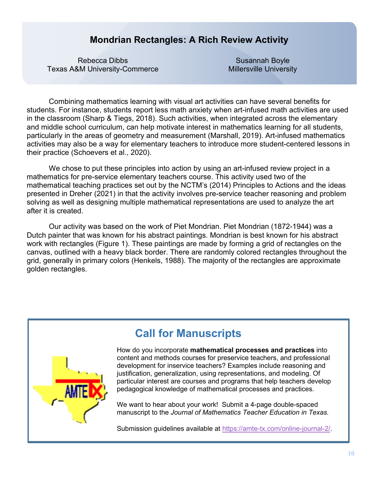#### **Mondrian Rectangles: A Rich Review Activity**

Rebecca Dibbs Texas A&M University-Commerce

Susannah Boyle Millersville University

Combining mathematics learning with visual art activities can have several benefits for students. For instance, students report less math anxiety when art-infused math activities are used in the classroom (Sharp & Tiegs, 2018). Such activities, when integrated across the elementary and middle school curriculum, can help motivate interest in mathematics learning for all students, particularly in the areas of geometry and measurement (Marshall, 2019). Art-infused mathematics activities may also be a way for elementary teachers to introduce more student-centered lessons in their practice (Schoevers et al., 2020).

We chose to put these principles into action by using an art-infused review project in a mathematics for pre-service elementary teachers course. This activity used two of the mathematical teaching practices set out by the NCTM's (2014) Principles to Actions and the ideas presented in Dreher (2021) in that the activity involves pre-service teacher reasoning and problem solving as well as designing multiple mathematical representations are used to analyze the art after it is created.

Our activity was based on the work of Piet Mondrian. Piet Mondrian (1872-1944) was a Dutch painter that was known for his abstract paintings. Mondrian is best known for his abstract work with rectangles (Figure 1). These paintings are made by forming a grid of rectangles on the canvas, outlined with a heavy black border. There are randomly colored rectangles throughout the grid, generally in primary colors (Henkels, 1988). The majority of the rectangles are approximate golden rectangles.



### **Call for Manuscripts**

How do you incorporate **mathematical processes and practices** into content and methods courses for preservice teachers, and professional development for inservice teachers? Examples include reasoning and justification, generalization, using representations, and modeling. Of particular interest are courses and programs that help teachers develop pedagogical knowledge of mathematical processes and practices.

We want to hear about your work! Submit a 4-page double-spaced manuscript to the *Journal of Mathematics Teacher Education in Texas.*

Submission guidelines available at [https://amte-tx.com/online-journal-2/.](about:blank)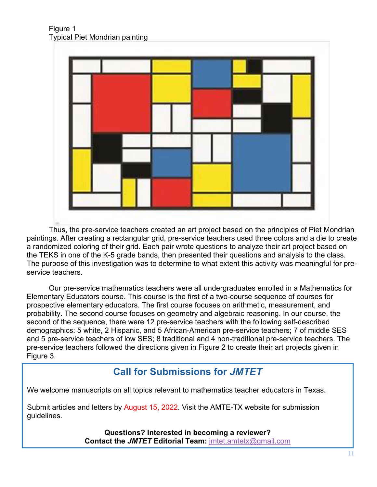Figure 1 Typical Piet Mondrian painting



Thus, the pre-service teachers created an art project based on the principles of Piet Mondrian paintings. After creating a rectangular grid, pre-service teachers used three colors and a die to create a randomized coloring of their grid. Each pair wrote questions to analyze their art project based on the TEKS in one of the K-5 grade bands, then presented their questions and analysis to the class. The purpose of this investigation was to determine to what extent this activity was meaningful for preservice teachers.

Our pre-service mathematics teachers were all undergraduates enrolled in a Mathematics for Elementary Educators course. This course is the first of a two-course sequence of courses for prospective elementary educators. The first course focuses on arithmetic, measurement, and probability. The second course focuses on geometry and algebraic reasoning. In our course, the second of the sequence, there were 12 pre-service teachers with the following self-described demographics: 5 white, 2 Hispanic, and 5 African-American pre-service teachers; 7 of middle SES and 5 pre-service teachers of low SES; 8 traditional and 4 non-traditional pre-service teachers. The pre-service teachers followed the directions given in Figure 2 to create their art projects given in Figure 3.

#### **Call for Submissions for** *JMTET*

We welcome manuscripts on all topics relevant to mathematics teacher educators in Texas.

Submit articles and letters by August 15, 2022. Visit the AMTE-TX website for submission guidelines.

> **Questions? Interested in becoming a reviewer? Contact the** *JMTET* **Editorial Team:** [jmtet.amtetx@gmail.com](about:blank)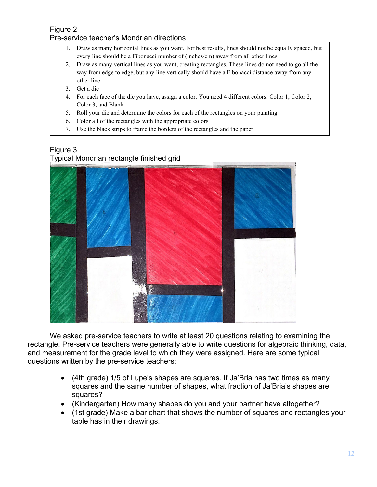#### Figure 2

#### Pre-service teacher's Mondrian directions

- 1. Draw as many horizontal lines as you want. For best results, lines should not be equally spaced, but every line should be a Fibonacci number of (inches/cm) away from all other lines
- 2. Draw as many vertical lines as you want, creating rectangles. These lines do not need to go all the way from edge to edge, but any line vertically should have a Fibonacci distance away from any other line
- 3. Get a die
- 4. For each face of the die you have, assign a color. You need 4 different colors: Color 1, Color 2, Color 3, and Blank
- 5. Roll your die and determine the colors for each of the rectangles on your painting
- 6. Color all of the rectangles with the appropriate colors
- 7. Use the black strips to frame the borders of the rectangles and the paper

#### Figure 3

Typical Mondrian rectangle finished grid



We asked pre-service teachers to write at least 20 questions relating to examining the rectangle. Pre-service teachers were generally able to write questions for algebraic thinking, data, and measurement for the grade level to which they were assigned. Here are some typical questions written by the pre-service teachers:

- (4th grade) 1/5 of Lupe's shapes are squares. If Ja'Bria has two times as many squares and the same number of shapes, what fraction of Ja'Bria's shapes are squares?
- (Kindergarten) How many shapes do you and your partner have altogether?
- (1st grade) Make a bar chart that shows the number of squares and rectangles your table has in their drawings.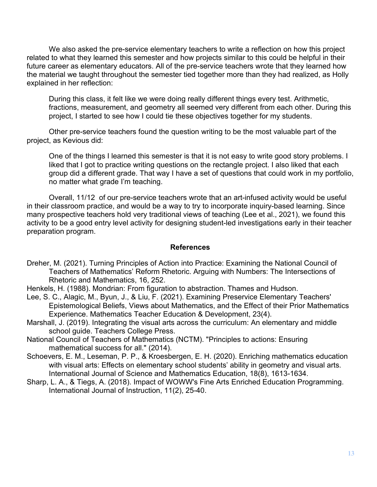We also asked the pre-service elementary teachers to write a reflection on how this project related to what they learned this semester and how projects similar to this could be helpful in their future career as elementary educators. All of the pre-service teachers wrote that they learned how the material we taught throughout the semester tied together more than they had realized, as Holly explained in her reflection:

During this class, it felt like we were doing really different things every test. Arithmetic, fractions, measurement, and geometry all seemed very different from each other. During this project, I started to see how I could tie these objectives together for my students.

Other pre-service teachers found the question writing to be the most valuable part of the project, as Kevious did:

One of the things I learned this semester is that it is not easy to write good story problems. I liked that I got to practice writing questions on the rectangle project. I also liked that each group did a different grade. That way I have a set of questions that could work in my portfolio, no matter what grade I'm teaching.

Overall, 11/12 of our pre-service teachers wrote that an art-infused activity would be useful in their classroom practice, and would be a way to try to incorporate inquiry-based learning. Since many prospective teachers hold very traditional views of teaching (Lee et al., 2021), we found this activity to be a good entry level activity for designing student-led investigations early in their teacher preparation program.

#### **References**

- Dreher, M. (2021). Turning Principles of Action into Practice: Examining the National Council of Teachers of Mathematics' Reform Rhetoric. Arguing with Numbers: The Intersections of Rhetoric and Mathematics, 16, 252.
- Henkels, H. (1988). Mondrian: From figuration to abstraction. Thames and Hudson.
- Lee, S. C., Alagic, M., Byun, J., & Liu, F. (2021). Examining Preservice Elementary Teachers' Epistemological Beliefs, Views about Mathematics, and the Effect of their Prior Mathematics Experience. Mathematics Teacher Education & Development, 23(4).
- Marshall, J. (2019). Integrating the visual arts across the curriculum: An elementary and middle school guide. Teachers College Press.
- National Council of Teachers of Mathematics (NCTM). "Principles to actions: Ensuring mathematical success for all." (2014).
- Schoevers, E. M., Leseman, P. P., & Kroesbergen, E. H. (2020). Enriching mathematics education with visual arts: Effects on elementary school students' ability in geometry and visual arts. International Journal of Science and Mathematics Education, 18(8), 1613-1634.
- Sharp, L. A., & Tiegs, A. (2018). Impact of WOWW's Fine Arts Enriched Education Programming. International Journal of Instruction, 11(2), 25-40.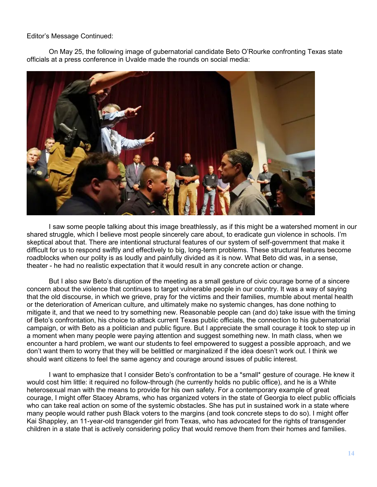Editor's Message Continued:

On May 25, the following image of gubernatorial candidate Beto O'Rourke confronting Texas state officials at a press conference in Uvalde made the rounds on social media:



I saw some people talking about this image breathlessly, as if this might be a watershed moment in our shared struggle, which I believe most people sincerely care about, to eradicate gun violence in schools. I'm skeptical about that. There are intentional structural features of our system of self-government that make it difficult for us to respond swiftly and effectively to big, long-term problems. These structural features become roadblocks when our polity is as loudly and painfully divided as it is now. What Beto did was, in a sense, theater - he had no realistic expectation that it would result in any concrete action or change.

But I also saw Beto's disruption of the meeting as a small gesture of civic courage borne of a sincere concern about the violence that continues to target vulnerable people in our country. It was a way of saying that the old discourse, in which we grieve, pray for the victims and their families, mumble about mental health or the deterioration of American culture, and ultimately make no systemic changes, has done nothing to mitigate it, and that we need to try something new. Reasonable people can (and do) take issue with the timing of Beto's confrontation, his choice to attack current Texas public officials, the connection to his gubernatorial campaign, or with Beto as a politician and public figure. But I appreciate the small courage it took to step up in a moment when many people were paying attention and suggest something new. In math class, when we encounter a hard problem, we want our students to feel empowered to suggest a possible approach, and we don't want them to worry that they will be belittled or marginalized if the idea doesn't work out. I think we should want citizens to feel the same agency and courage around issues of public interest.

I want to emphasize that I consider Beto's confrontation to be a \*small\* gesture of courage. He knew it would cost him little: it required no follow-through (he currently holds no public office), and he is a White heterosexual man with the means to provide for his own safety. For a contemporary example of great courage, I might offer Stacey Abrams, who has organized voters in the state of Georgia to elect public officials who can take real action on some of the systemic obstacles. She has put in sustained work in a state where many people would rather push Black voters to the margins (and took concrete steps to do so). I might offer Kai Shappley, an 11-year-old transgender girl from Texas, who has advocated for the rights of transgender children in a state that is actively considering policy that would remove them from their homes and families.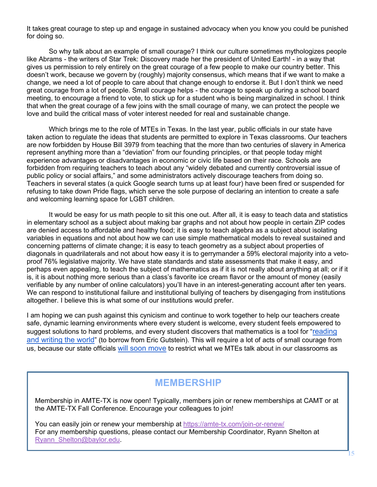It takes great courage to step up and engage in sustained advocacy when you know you could be punished for doing so.

So why talk about an example of small courage? I think our culture sometimes mythologizes people like Abrams - the writers of Star Trek: Discovery made her the president of United Earth! - in a way that gives us permission to rely entirely on the great courage of a few people to make our country better. This doesn't work, because we govern by (roughly) majority consensus, which means that if we want to make a change, we need a lot of people to care about that change enough to endorse it. But I don't think we need great courage from a lot of people. Small courage helps - the courage to speak up during a school board meeting, to encourage a friend to vote, to stick up for a student who is being marginalized in school. I think that when the great courage of a few joins with the small courage of many, we can protect the people we love and build the critical mass of voter interest needed for real and sustainable change.

Which brings me to the role of MTEs in Texas. In the last year, public officials in our state have taken action to regulate the ideas that students are permitted to explore in Texas classrooms. Our teachers are now forbidden by House Bill 3979 from teaching that the more than two centuries of slavery in America represent anything more than a "deviation" from our founding principles, or that people today might experience advantages or disadvantages in economic or civic life based on their race. Schools are forbidden from requiring teachers to teach about any "widely debated and currently controversial issue of public policy or social affairs," and some administrators actively discourage teachers from doing so. Teachers in several states (a quick Google search turns up at least four) have been fired or suspended for refusing to take down Pride flags, which serve the sole purpose of declaring an intention to create a safe and welcoming learning space for LGBT children.

It would be easy for us math people to sit this one out. After all, it is easy to teach data and statistics in elementary school as a subject about making bar graphs and not about how people in certain ZIP codes are denied access to affordable and healthy food; it is easy to teach algebra as a subject about isolating variables in equations and not about how we can use simple mathematical models to reveal sustained and concerning patterns of climate change; it is easy to teach geometry as a subject about properties of diagonals in quadrilaterals and not about how easy it is to gerrymander a 59% electoral majority into a vetoproof 76% legislative majority. We have state standards and state assessments that make it easy, and perhaps even appealing, to teach the subject of mathematics as if it is not really about anything at all; or if it is, it is about nothing more serious than a class's favorite ice cream flavor or the amount of money (easily verifiable by any number of online calculators) you'll have in an interest-generating account after ten years. We can respond to institutional failure and institutional bullying of teachers by disengaging from institutions altogether. I believe this is what some of our institutions would prefer.

I am hoping we can push against this cynicism and continue to work together to help our teachers create safe, dynamic learning environments where every student is welcome, every student feels empowered to suggest solutions to hard problems, and every student discovers that mathematics is a tool for "reading [and writing the world"](https://books.google.com/books/about/Reading_and_Writing_the_World_with_Mathe.html?id=gYWp_HmgISUC&source=kp_book_description) (to borrow from Eric Gutstein). This will require a lot of acts of small courage from us, because our state officials [will soon move](https://www.texastribune.org/2022/02/18/dan-patrick-texas-tenure-critical-race-theory/) to restrict what we MTEs talk about in our classrooms as

#### **MEMBERSHIP**

Membership in AMTE-TX is now open! Typically, members join or renew memberships at CAMT or at the AMTE-TX Fall Conference. Encourage your colleagues to join!

You can easily join or renew your membership at [https://amte-tx.com/join-or-renew/](about:blank) For any membership questions, please contact our Membership Coordinator, Ryann Shelton at Ryann\_Shelton@baylor.edu